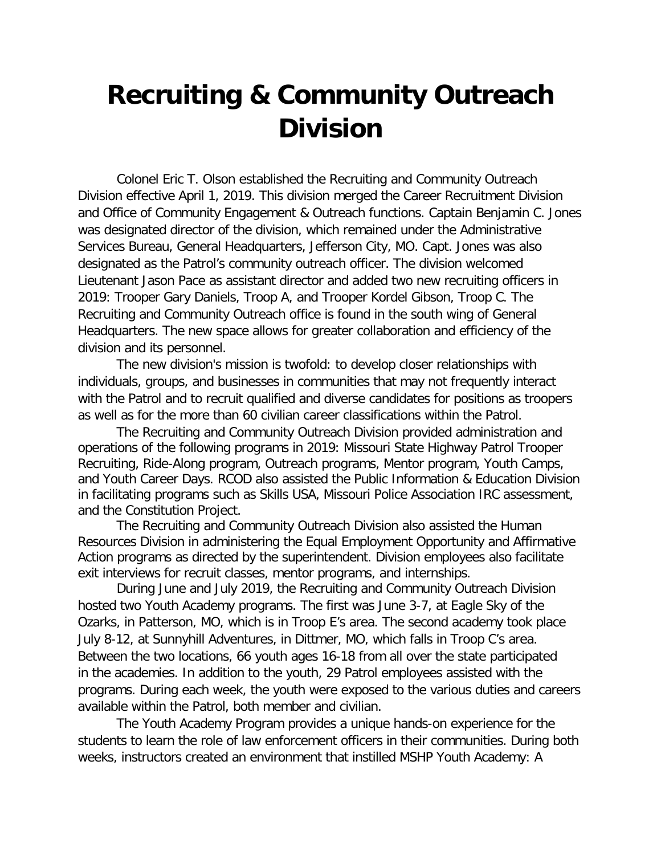## **Recruiting & Community Outreach Division**

Colonel Eric T. Olson established the Recruiting and Community Outreach Division effective April 1, 2019. This division merged the Career Recruitment Division and Office of Community Engagement & Outreach functions. Captain Benjamin C. Jones was designated director of the division, which remained under the Administrative Services Bureau, General Headquarters, Jefferson City, MO. Capt. Jones was also designated as the Patrol's community outreach officer. The division welcomed Lieutenant Jason Pace as assistant director and added two new recruiting officers in 2019: Trooper Gary Daniels, Troop A, and Trooper Kordel Gibson, Troop C. The Recruiting and Community Outreach office is found in the south wing of General Headquarters. The new space allows for greater collaboration and efficiency of the division and its personnel.

The new division's mission is twofold: to develop closer relationships with individuals, groups, and businesses in communities that may not frequently interact with the Patrol and to recruit qualified and diverse candidates for positions as troopers as well as for the more than 60 civilian career classifications within the Patrol.

The Recruiting and Community Outreach Division provided administration and operations of the following programs in 2019: Missouri State Highway Patrol Trooper Recruiting, Ride-Along program, Outreach programs, Mentor program, Youth Camps, and Youth Career Days. RCOD also assisted the Public Information & Education Division in facilitating programs such as Skills USA, Missouri Police Association IRC assessment, and the Constitution Project.

The Recruiting and Community Outreach Division also assisted the Human Resources Division in administering the Equal Employment Opportunity and Affirmative Action programs as directed by the superintendent. Division employees also facilitate exit interviews for recruit classes, mentor programs, and internships.

During June and July 2019, the Recruiting and Community Outreach Division hosted two Youth Academy programs. The first was June 3-7, at Eagle Sky of the Ozarks, in Patterson, MO, which is in Troop E's area. The second academy took place July 8-12, at Sunnyhill Adventures, in Dittmer, MO, which falls in Troop C's area. Between the two locations, 66 youth ages 16-18 from all over the state participated in the academies. In addition to the youth, 29 Patrol employees assisted with the programs. During each week, the youth were exposed to the various duties and careers available within the Patrol, both member and civilian.

The Youth Academy Program provides a unique hands-on experience for the students to learn the role of law enforcement officers in their communities. During both weeks, instructors created an environment that instilled MSHP Youth Academy: A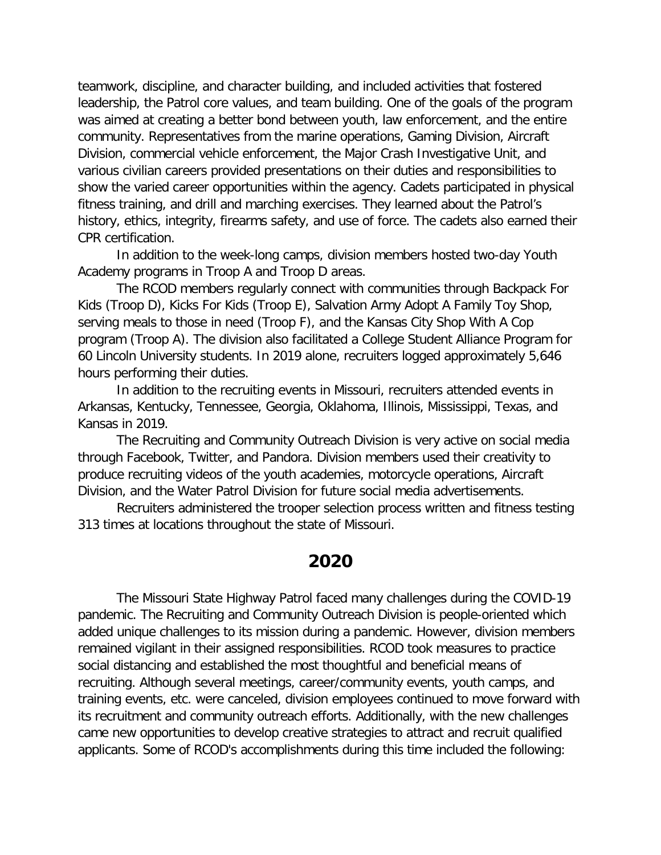teamwork, discipline, and character building, and included activities that fostered leadership, the Patrol core values, and team building. One of the goals of the program was aimed at creating a better bond between youth, law enforcement, and the entire community. Representatives from the marine operations, Gaming Division, Aircraft Division, commercial vehicle enforcement, the Major Crash Investigative Unit, and various civilian careers provided presentations on their duties and responsibilities to show the varied career opportunities within the agency. Cadets participated in physical fitness training, and drill and marching exercises. They learned about the Patrol's history, ethics, integrity, firearms safety, and use of force. The cadets also earned their CPR certification.

In addition to the week-long camps, division members hosted two-day Youth Academy programs in Troop A and Troop D areas.

The RCOD members regularly connect with communities through Backpack For Kids (Troop D), Kicks For Kids (Troop E), Salvation Army Adopt A Family Toy Shop, serving meals to those in need (Troop F), and the Kansas City Shop With A Cop program (Troop A). The division also facilitated a College Student Alliance Program for 60 Lincoln University students. In 2019 alone, recruiters logged approximately 5,646 hours performing their duties.

In addition to the recruiting events in Missouri, recruiters attended events in Arkansas, Kentucky, Tennessee, Georgia, Oklahoma, Illinois, Mississippi, Texas, and Kansas in 2019.

The Recruiting and Community Outreach Division is very active on social media through Facebook, Twitter, and Pandora. Division members used their creativity to produce recruiting videos of the youth academies, motorcycle operations, Aircraft Division, and the Water Patrol Division for future social media advertisements.

Recruiters administered the trooper selection process written and fitness testing 313 times at locations throughout the state of Missouri.

## **2020**

The Missouri State Highway Patrol faced many challenges during the COVID-19 pandemic. The Recruiting and Community Outreach Division is people-oriented which added unique challenges to its mission during a pandemic. However, division members remained vigilant in their assigned responsibilities. RCOD took measures to practice social distancing and established the most thoughtful and beneficial means of recruiting. Although several meetings, career/community events, youth camps, and training events, etc. were canceled, division employees continued to move forward with its recruitment and community outreach efforts. Additionally, with the new challenges came new opportunities to develop creative strategies to attract and recruit qualified applicants. Some of RCOD's accomplishments during this time included the following: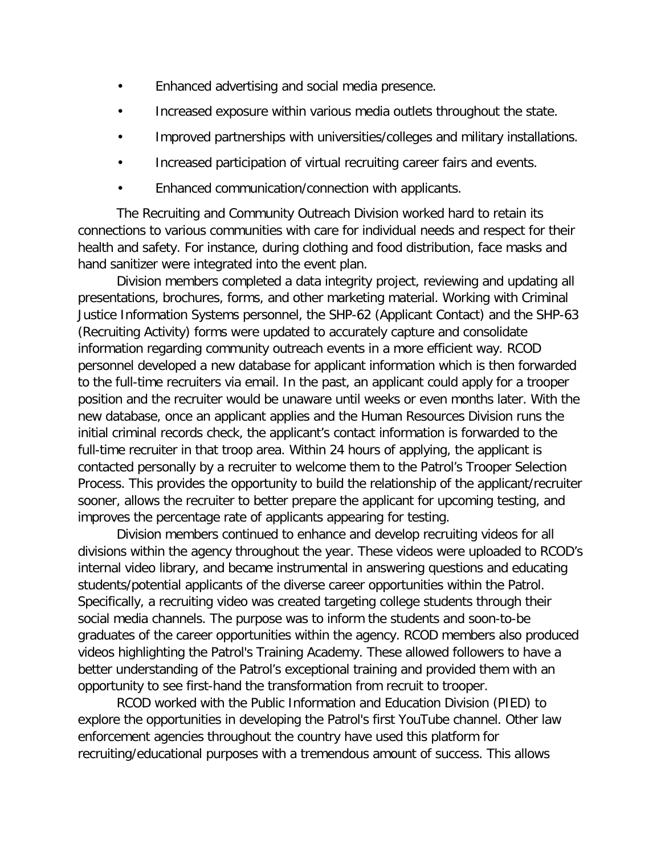- Enhanced advertising and social media presence.
- Increased exposure within various media outlets throughout the state.
- Improved partnerships with universities/colleges and military installations.
- Increased participation of virtual recruiting career fairs and events.
- Enhanced communication/connection with applicants.

The Recruiting and Community Outreach Division worked hard to retain its connections to various communities with care for individual needs and respect for their health and safety. For instance, during clothing and food distribution, face masks and hand sanitizer were integrated into the event plan.

Division members completed a data integrity project, reviewing and updating all presentations, brochures, forms, and other marketing material. Working with Criminal Justice Information Systems personnel, the SHP-62 (Applicant Contact) and the SHP-63 (Recruiting Activity) forms were updated to accurately capture and consolidate information regarding community outreach events in a more efficient way. RCOD personnel developed a new database for applicant information which is then forwarded to the full-time recruiters via email. In the past, an applicant could apply for a trooper position and the recruiter would be unaware until weeks or even months later. With the new database, once an applicant applies and the Human Resources Division runs the initial criminal records check, the applicant's contact information is forwarded to the full-time recruiter in that troop area. Within 24 hours of applying, the applicant is contacted personally by a recruiter to welcome them to the Patrol's Trooper Selection Process. This provides the opportunity to build the relationship of the applicant/recruiter sooner, allows the recruiter to better prepare the applicant for upcoming testing, and improves the percentage rate of applicants appearing for testing.

Division members continued to enhance and develop recruiting videos for all divisions within the agency throughout the year. These videos were uploaded to RCOD's internal video library, and became instrumental in answering questions and educating students/potential applicants of the diverse career opportunities within the Patrol. Specifically, a recruiting video was created targeting college students through their social media channels. The purpose was to inform the students and soon-to-be graduates of the career opportunities within the agency. RCOD members also produced videos highlighting the Patrol's Training Academy. These allowed followers to have a better understanding of the Patrol's exceptional training and provided them with an opportunity to see first-hand the transformation from recruit to trooper.

RCOD worked with the Public Information and Education Division (PIED) to explore the opportunities in developing the Patrol's first YouTube channel. Other law enforcement agencies throughout the country have used this platform for recruiting/educational purposes with a tremendous amount of success. This allows